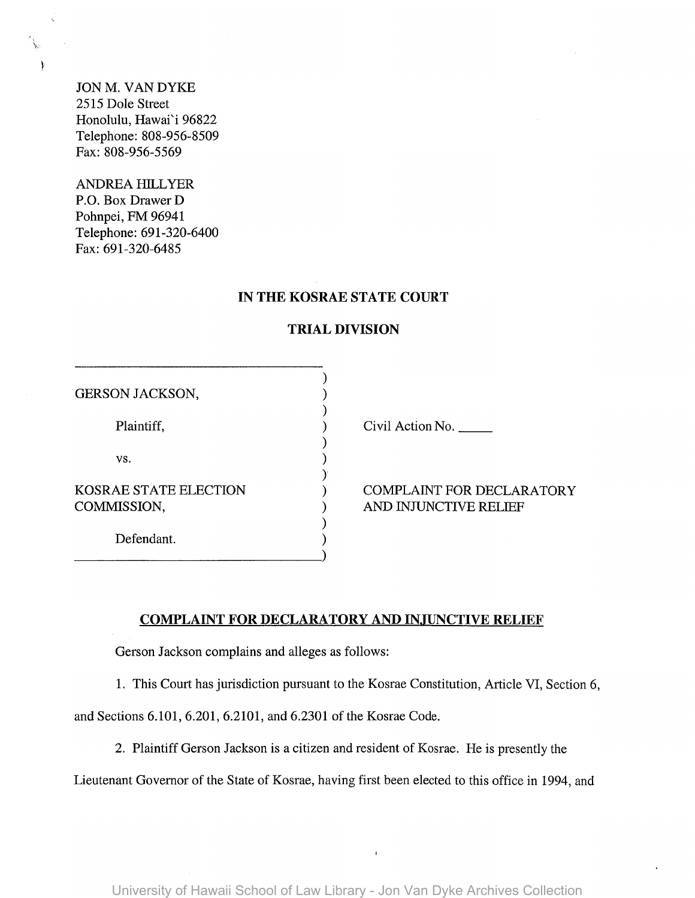JON M. VAN DYKE 2515 Dole Street Honolulu, Hawai'i 96822 Telephone: 808-956-8509 Fax: 808-956-5569

 $\mathcal{F}$ 

ANDREA HILLYER P.O. Box Drawer D Pohnpei, FM 96941 Telephone: 691-320-6400 Fax: 691-320-6485

## **IN THE KOSRAE STATE COURT**

| <b>GERSON JACKSON,</b> |  |
|------------------------|--|
|                        |  |
| Plaintiff,             |  |
|                        |  |
| VS.                    |  |
| KOSRAE STATE ELECTION  |  |
| COMMISSION,            |  |
|                        |  |
| Defendant.             |  |

## **TRIAL DIVISION**

Civil Action No.

COMPLAINT FOR DECLARATORY AND INJUNCTIVE RELIEF

## **COMPLAINT FOR DECLARATORY AND INJUNCTIVE RELIEF**

Gerson Jackson complains and alleges as follows:

1. This Court has jurisdiction pursuant to the Kosrae Constitution, Article VI, Section 6,

and Sections 6.101, 6.201, 6.2101, and 6.2301 of the Kosrae Code.

2. Plaintiff Gerson Jackson is a citizen and resident of Kosrae. He is presently the

Lieutenant Governor of the State of Kosrae, having first been elected to this office in 1994, and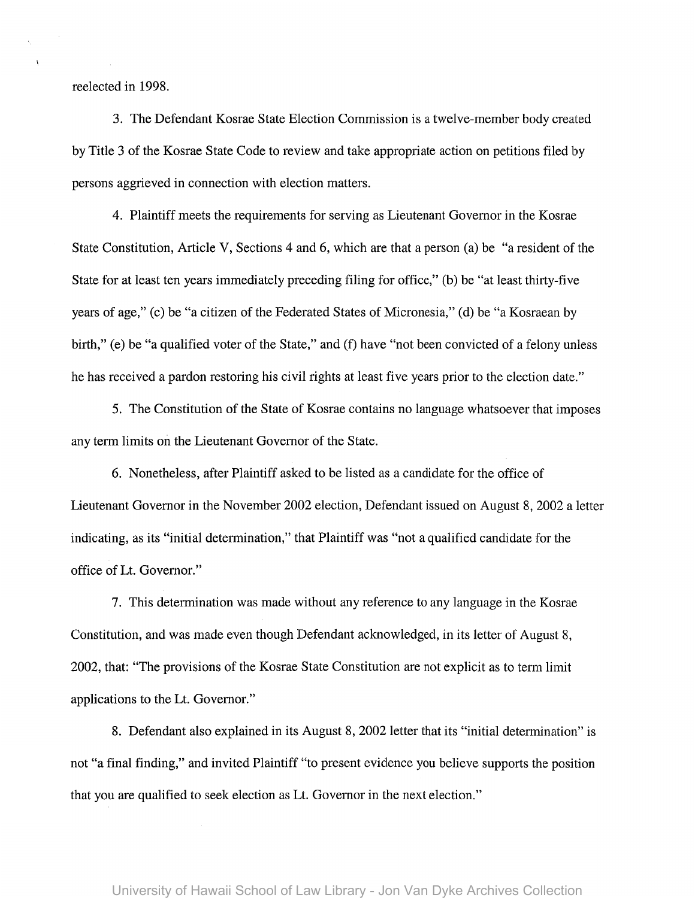reelected in 1998.

3. The Defendant Kosrae State Election Commission is a twelve-member body created by Title 3 of the Kosrae State Code to review and take appropriate action on petitions filed by persons aggrieved in connection with election matters.

4. Plaintiff meets the requirements for serving as Lieutenant Governor in the Kosrae State Constitution, Article V, Sections 4 and 6, which are that a person (a) be "a resident of the State for at least ten years immediately preceding filing for office," (b) be "at least thirty-five years of age," (c) be "a citizen of the Federated States of Micronesia," (d) be "a Kosraean by birth," (e) be "a qualified voter of the State," and (f) have "not been convicted of a felony unless he has received a pardon restoring his civil rights at least five years prior to the election date."

5. The Constitution of the State of Kosrae contains no language whatsoever that imposes any term limits on the Lieutenant Governor of the State.

6. Nonetheless, after Plaintiff asked to be listed as a candidate for the office of Lieutenant Governor in the November 2002 election, Defendant issued on August 8, 2002 a letter indicating, as its "initial determination," that Plaintiff was "not a qualified candidate for the office of Lt. Governor."

7. This determination was made without any reference to any language in the Kosrae Constitution, and was made even though Defendant acknowledged, in its letter of August 8, 2002, that: "The provisions of the Kosrae State Constitution are not explicit as to term limit applications to the Lt. Governor."

8. Defendant also explained in its August 8, 2002 letter that its "initial determination" is not "a final finding," and invited Plaintiff "to present evidence you believe supports the position that you are qualified to seek election as Lt. Governor in the next election."